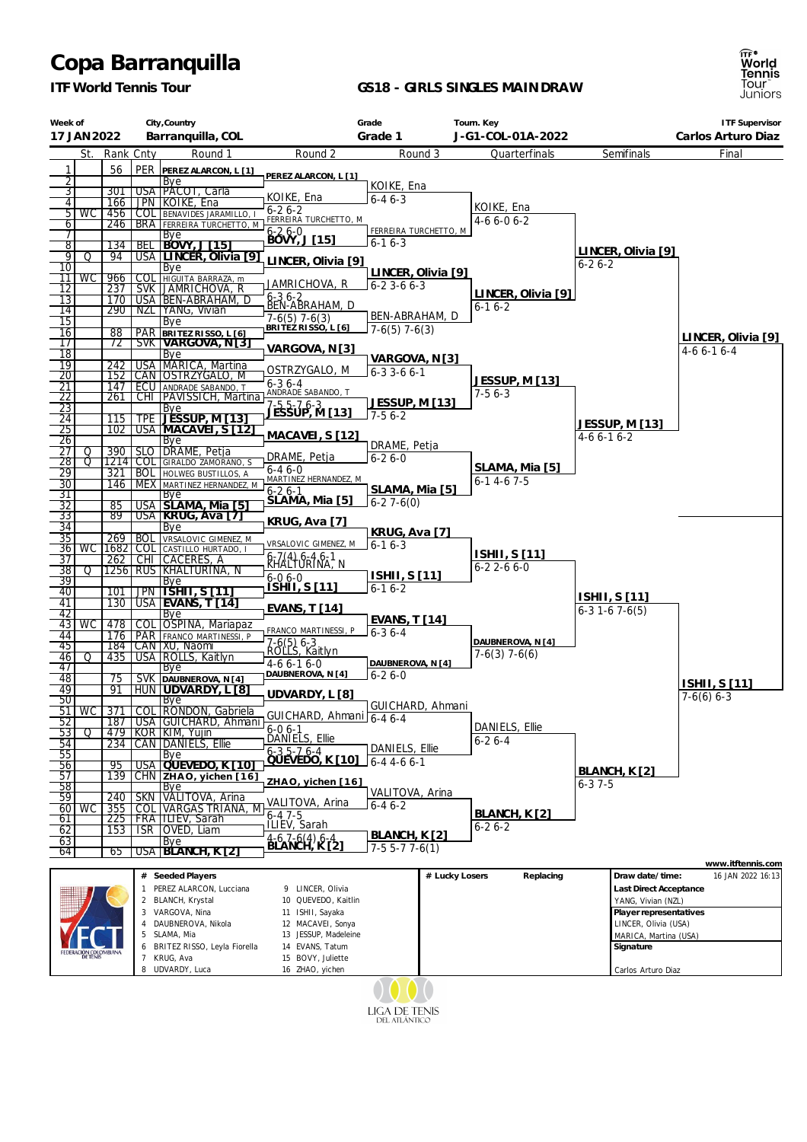## **Copa Barranquilla**

*ITF World Tennis Tour*

## **GS18 - GIRLS SINGLES MAINDRAW**



| Week of                            |             |            | City, Country      |                                                                     | Grade<br>Tourn. Key                                 |                       |                    |                                           |                                              |                        | <b>ITF Supervisor</b> |
|------------------------------------|-------------|------------|--------------------|---------------------------------------------------------------------|-----------------------------------------------------|-----------------------|--------------------|-------------------------------------------|----------------------------------------------|------------------------|-----------------------|
| 17 JAN 2022                        |             |            | Barranquilla, COL  |                                                                     | Grade 1                                             |                       |                    | J-G1-COL-01A-2022                         |                                              | Carlos Arturo Diaz     |                       |
|                                    | St.         | Rank Cnty  |                    | Round 1                                                             | Round 2                                             |                       | Round 3            | Quarterfinals                             |                                              | Semifinals             | Final                 |
| 1<br>$\overline{2}$                |             | 56         |                    | PER PEREZ ALARCON, L [1]<br>Bye                                     | PEREZ ALARCON, L [1]                                |                       |                    |                                           |                                              |                        |                       |
| $\overline{3}$                     |             | 301        |                    | USA PÁCOT, Carla                                                    |                                                     | KOIKE, Ena            |                    |                                           |                                              |                        |                       |
| $\overline{4}$                     |             | 166        |                    | JPN KOIKE, Ena                                                      | KOIKE, Ena<br>$6 - 26 - 2$                          | $6 - 46 - 3$          |                    | KOIKE, Ena                                |                                              |                        |                       |
| $6\sqrt{ }$                        | $5 \mid WC$ | 456<br>246 |                    | <b>COL BENAVIDES JARAMILLO,</b><br><b>BRA</b> FERREIRA TURCHETTO, M | FERREIRA TURCHETTO, M                               |                       |                    | $4-66-06-2$                               |                                              |                        |                       |
| $\overline{7}$                     |             |            |                    | Bye<br>BEL BOVY, J [15]                                             | 6-2 6-0<br>BOVY, J [15]                             | FERREIRA TURCHETTO, M |                    |                                           |                                              |                        |                       |
| $\overline{8}$<br>श्र              | Q           | 134<br>94  |                    | USA LINCER, Olivia [9]                                              |                                                     | $6 - 16 - 3$          |                    |                                           |                                              | LINCER, Olivia [9]     |                       |
| 10                                 |             |            |                    | Bye                                                                 | LINCER, Olivia [9]                                  |                       |                    |                                           | $6 - 26 - 2$                                 |                        |                       |
|                                    | 11   WC     | 966        |                    | COL HIGUITA BARRAZA, m                                              | JAMRICHOVA, R                                       | $6 - 23 - 66 - 3$     | LINCER, Olivia [9] |                                           |                                              |                        |                       |
| $\overline{12}$<br>13              |             | 237<br>170 |                    | SVK JAMRICHOVA, R<br>USA BEN-ABRAHAM, D                             | 6-3,6-2<br>BEN-ABRAHAM, D                           |                       |                    | LINCER, Olivia [9]                        |                                              |                        |                       |
| 14                                 |             | 290        |                    | NZL YANG, Vivian                                                    |                                                     | BEN-ABRAHAM, D        |                    | $6 - 16 - 2$                              |                                              |                        |                       |
| $\overline{15}$                    |             |            |                    | Bye                                                                 | 17-6(5)  7-6(3)<br><sub>L</sub> BRITEZ RISSO, L [6] | $7-6(5)$ 7 $-6(3)$    |                    |                                           |                                              |                        |                       |
| 16<br>17                           |             | 88<br>72   |                    | PAR BRITEZ RISSO, L [6]                                             |                                                     |                       |                    |                                           |                                              |                        | LINCER, Olivia [9]    |
| $\overline{18}$                    |             |            |                    | Bye                                                                 | VARGOVA, N[3]                                       | <u>VARGOVA, N [3]</u> |                    |                                           |                                              |                        | $4-66-16-4$           |
| $\overline{19}$<br>20              |             | 242<br>152 |                    | USA   MARICA, Martina<br>CAN OSTRZYGALO, M                          | OSTRZYGALO, M                                       | $6 - 3$ 3 - 6 6 - 1   |                    |                                           |                                              |                        |                       |
| 21                                 |             | 147        |                    |                                                                     | $6 - 36 - 4$                                        |                       |                    | JESSUP, M [13]                            |                                              |                        |                       |
| <u>22</u>                          |             | 261        |                    | <b>ECU</b> ANDRADE SABANDO, T<br>CHI PAVISSICH, Martina             | ANDRADE SABANDO, T                                  | JESSUP, M [13]        |                    | $7-56-3$                                  |                                              |                        |                       |
| 23<br>24                           |             | 115        |                    | Bye<br>TPE   JESSUP, M [13]                                         | 7-5 5-7 6-3<br><u>JESSUP, M [13]</u>                | $7-56-2$              |                    |                                           |                                              |                        |                       |
| 25                                 |             | 102        |                    | USA MACAVEI, ST12                                                   |                                                     |                       |                    |                                           |                                              | JESSUP, M [13]         |                       |
| 26                                 |             |            |                    | Bye                                                                 | MACAVEI, S [12]                                     | DRAME, Petja          |                    |                                           | $4-66-16-2$                                  |                        |                       |
| 27<br>28                           | Q<br>σ      | 390        |                    | SLO DRAME, Petja<br>1214 COL GIRALDO ZAMORANO, S                    | DRAME, Petja                                        | $6 - 26 - 0$          |                    |                                           |                                              |                        |                       |
| 29                                 |             | 321        |                    | <b>BOL</b> HOLWEG BUSTILLOS, A                                      | $6 - 46 - 0$<br>MARTINEZ HERNANDEZ, M               |                       |                    | SLAMA, Mia [5]<br>$6 - 14 - 67 - 5$       |                                              |                        |                       |
| $\overline{30}$<br>31              |             | 146        |                    | MEX   MARTINEZ HERNANDEZ, M<br> Bye                                 | $6-26-1$                                            | SLAMA, Mia [5]        |                    |                                           |                                              |                        |                       |
| 32                                 |             | 85         |                    | USA SLAMA, Mia [5]                                                  | SLAMA, Mia [5]                                      | $6 - 27 - 6(0)$       |                    |                                           |                                              |                        |                       |
| 33                                 |             | 89         |                    | USA   KRUG, Ava [7]                                                 | KRUG, Ava [7]                                       |                       |                    |                                           |                                              |                        |                       |
| $\overline{34}$<br>$\overline{35}$ |             | 269        | <b>BOL</b>         | Bye<br>VRSALOVIC GIMENEZ, M                                         |                                                     | KRUG, Ava [7]         |                    |                                           |                                              |                        |                       |
|                                    | 36   WC     | 16821      |                    | COL CASTILLO HURTADO, I                                             | VRSALOVIC GIMENEZ, M                                | $6-16-3$              |                    |                                           |                                              |                        |                       |
| 37                                 |             | 262        |                    | CHI CACERES, A                                                      | 6-7(4) 6-4 6-1<br>KHALTURINA, N                     |                       |                    | <b>ISHII, S [11]</b><br>$6 - 22 - 66 - 0$ |                                              |                        |                       |
| $\overline{38}$<br>39              | Q           |            |                    | 1256   RUS   KHALTURINA, N                                          | $6 - 0.6 - 0$                                       | <b>ISHII, S [11]</b>  |                    |                                           |                                              |                        |                       |
| 40                                 |             | 101        |                    | <u>Bye</u><br>JPN   ISHI I, S [11]                                  | <u> ISHII, S [11]</u>                               | $6 - 16 - 2$          |                    |                                           |                                              | <b>ISHII, S [11]</b>   |                       |
| 41<br>42                           |             | 130        |                    | USA   EVANS, T [14]<br><b>Bye</b>                                   | <b>EVANS, T [14]</b>                                |                       |                    |                                           |                                              | $6-31-67-6(5)$         |                       |
|                                    | 43   WC     | 478        |                    | COL OSPINA, Mariapaz                                                |                                                     | EVANS, T [14]         |                    |                                           |                                              |                        |                       |
| 44                                 |             |            |                    | 176   PAR   FRANCO MARTINESSI, P                                    | FRANCO MARTINESSI, P                                | $6 - 36 - 4$          |                    | DAUBNEROVA, N [4]                         |                                              |                        |                       |
| 45<br>46                           | Q           | 435        |                    | 184   CAN   XU, Naomi<br>USA   ROLLS, Kaitlyn                       | 7-6(5) 6-3<br>ROLLS, Kaitlyn                        |                       |                    | $7-6(3)$ 7 $-6(6)$                        |                                              |                        |                       |
| 47                                 |             |            |                    | <b>Bye</b>                                                          | $4-66-16-0$                                         | DAUBNEROVA, N [4]     |                    |                                           |                                              |                        |                       |
| 48<br>49                           |             | 75<br>91   |                    | SVK DAUBNEROVA, N [4]<br>HUN UDVARDY, LT81                          | DAUBNEROVA, N [4]                                   | $6 - 26 - 0$          |                    |                                           |                                              |                        | ISHII, S [11]         |
| 50                                 |             |            |                    | <b>Bye</b>                                                          | UDVARDY, L [8]                                      |                       |                    |                                           |                                              |                        | $7-6(6)$ 6-3          |
|                                    | 51 WC       |            |                    | 371   COL   RONDON, Gabriela                                        | GUICHARD, Ahmani 6-4 6-4                            | GUICHARD, Ahmani      |                    |                                           |                                              |                        |                       |
| 521<br>531                         | Q           |            |                    | 187   USA GUICHARD, Ahmani<br>479 KOR KIM, Yujin                    | $6 - 06 - 1$                                        |                       |                    | DANIELS, Ellie                            |                                              |                        |                       |
| 54                                 |             | 234        |                    | CAN   DANIELS, Ellie                                                | DANIELS, Ellie                                      | DANIELS, Ellie        |                    | $6 - 26 - 4$                              |                                              |                        |                       |
| 55                                 |             |            |                    | <b>Bye</b>                                                          | 6-3 5-7 6-4<br>QUEVEDO, K [10]                      | $6 - 44 - 66 - 1$     |                    |                                           |                                              |                        |                       |
| 56 <br>57                          |             | 95<br>139  |                    | USA QUEVEDO, K [10]<br>CHN ZHAO, yichen [16]                        |                                                     |                       |                    |                                           |                                              | BLANCH, K [2]          |                       |
| 58                                 |             |            |                    | Bye                                                                 | ZHAO, yichen [16]                                   | VALITOVA, Arina       |                    |                                           | $6 - 37 - 5$                                 |                        |                       |
| $\overline{59}$                    | 60   WC     | 240<br>355 | <b>SKN</b>         | VALITOVA, Arina<br>COL VARGAS TRIANA, M                             | VALITOVA, Arina                                     | $6 - 46 - 2$          |                    |                                           |                                              |                        |                       |
| 61                                 |             | 225        |                    | <b>FRATILIEV, Sarah</b>                                             | $6 - 47 - 5$                                        |                       |                    | BLANCH, K [2]                             |                                              |                        |                       |
| 62                                 |             | 153        |                    | ISR   OVED, Liam                                                    | ILIEV, Sarah                                        | <b>BLANCH, K [2]</b>  |                    | $6 - 26 - 2$                              |                                              |                        |                       |
| 63  <br>64                         |             | 65         |                    | Bye<br>USA BLANCH, K [2]                                            | 4-6 7-6(4) 6-4<br>BLANCH, K [2]                     | $7-55-77-6(1)$        |                    |                                           |                                              |                        |                       |
|                                    |             |            |                    |                                                                     |                                                     |                       |                    | www.itftennis.com                         |                                              |                        |                       |
|                                    |             |            | #                  | Seeded Players                                                      |                                                     |                       | # Lucky Losers     | Replacing                                 |                                              | Draw date/time:        | 16 JAN 2022 16:13     |
|                                    |             |            | $\mathbf{1}$       | PEREZ ALARCON, Lucciana<br>2 BLANCH, Krystal                        | 9 LINCER, Olivia<br>10 QUEVEDO, Kaitlin             |                       |                    |                                           |                                              | Last Direct Acceptance |                       |
|                                    |             |            | 3 VARGOVA, Nina    | 11 ISHII, Sayaka                                                    |                                                     |                       |                    |                                           | YANG, Vivian (NZL)<br>Player representatives |                        |                       |
|                                    |             | 4          | DAUBNEROVA, Nikola | 12 MACAVEI, Sonya                                                   |                                                     |                       |                    |                                           | LINCER, Olivia (USA)                         |                        |                       |
|                                    |             |            |                    | SLAMA, Mia                                                          | 13 JESSUP, Madeleine                                |                       |                    |                                           |                                              | MARICA, Martina (USA)  |                       |
|                                    |             |            |                    | 6 BRITEZ RISSO, Leyla Fiorella<br>7 KRUG, Ava                       | 14 EVANS, Tatum<br>15 BOVY, Juliette                |                       |                    |                                           |                                              | Signature              |                       |
|                                    |             |            |                    | 8 UDVARDY, Luca                                                     | 16 ZHAO, yichen                                     |                       |                    |                                           |                                              | Carlos Arturo Diaz     |                       |